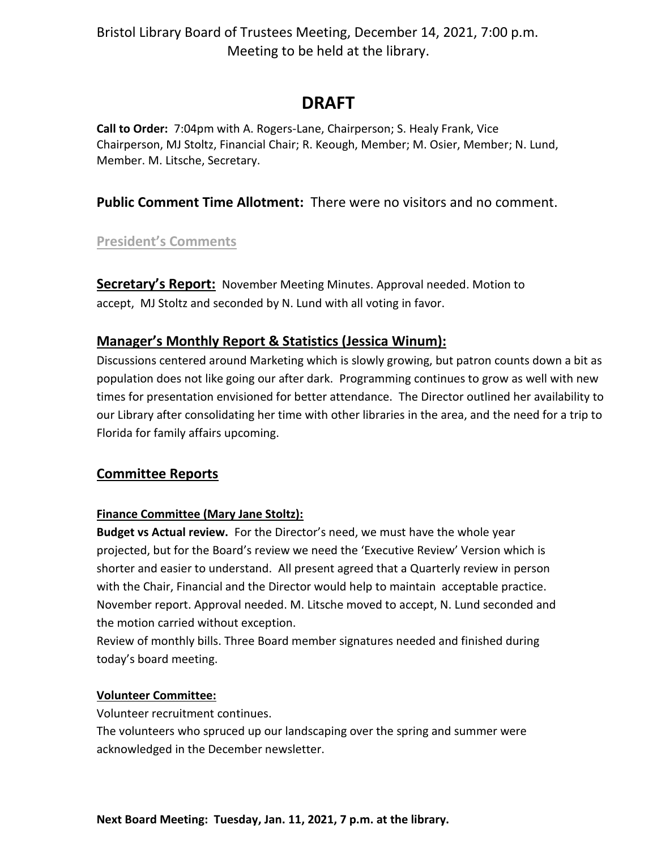# **DRAFT**

**Call to Order:** 7:04pm with A. Rogers-Lane, Chairperson; S. Healy Frank, Vice Chairperson, MJ Stoltz, Financial Chair; R. Keough, Member; M. Osier, Member; N. Lund, Member. M. Litsche, Secretary.

### **Public Comment Time Allotment:** There were no visitors and no comment.

### **President's Comments**

**Secretary's Report:** November Meeting Minutes. Approval needed. Motion to accept, MJ Stoltz and seconded by N. Lund with all voting in favor.

### **Manager's Monthly Report & Statistics (Jessica Winum):**

Discussions centered around Marketing which is slowly growing, but patron counts down a bit as population does not like going our after dark. Programming continues to grow as well with new times for presentation envisioned for better attendance. The Director outlined her availability to our Library after consolidating her time with other libraries in the area, and the need for a trip to Florida for family affairs upcoming.

### **Committee Reports**

#### **Finance Committee (Mary Jane Stoltz):**

**Budget vs Actual review.** For the Director's need, we must have the whole year projected, but for the Board's review we need the 'Executive Review' Version which is shorter and easier to understand. All present agreed that a Quarterly review in person with the Chair, Financial and the Director would help to maintain acceptable practice. November report. Approval needed. M. Litsche moved to accept, N. Lund seconded and the motion carried without exception.

Review of monthly bills. Three Board member signatures needed and finished during today's board meeting.

#### **Volunteer Committee:**

Volunteer recruitment continues.

The volunteers who spruced up our landscaping over the spring and summer were acknowledged in the December newsletter.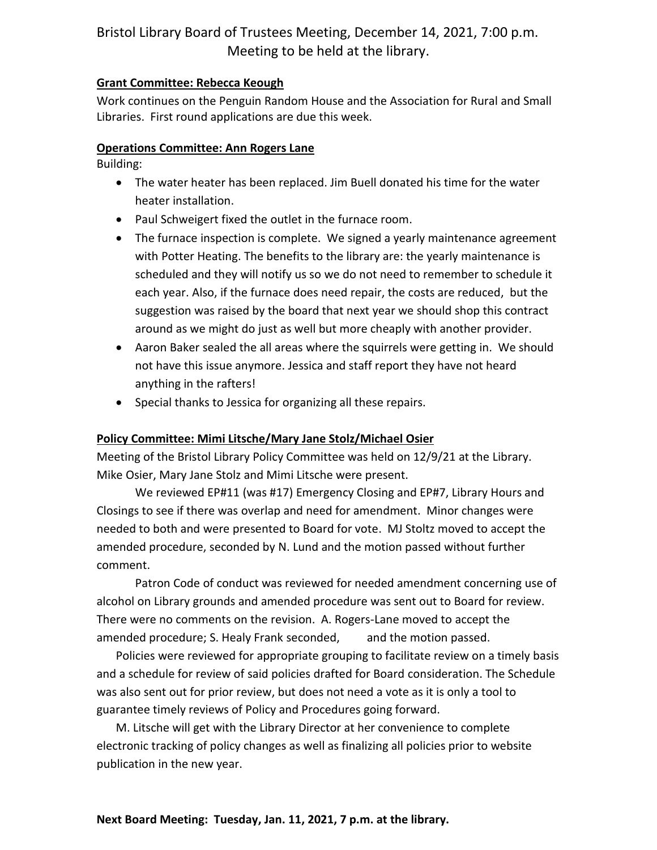#### **Grant Committee: Rebecca Keough**

Work continues on the Penguin Random House and the Association for Rural and Small Libraries. First round applications are due this week.

#### **Operations Committee: Ann Rogers Lane**

Building:

- The water heater has been replaced. Jim Buell donated his time for the water heater installation.
- Paul Schweigert fixed the outlet in the furnace room.
- The furnace inspection is complete. We signed a yearly maintenance agreement with Potter Heating. The benefits to the library are: the yearly maintenance is scheduled and they will notify us so we do not need to remember to schedule it each year. Also, if the furnace does need repair, the costs are reduced, but the suggestion was raised by the board that next year we should shop this contract around as we might do just as well but more cheaply with another provider.
- Aaron Baker sealed the all areas where the squirrels were getting in. We should not have this issue anymore. Jessica and staff report they have not heard anything in the rafters!
- Special thanks to Jessica for organizing all these repairs.

#### **Policy Committee: Mimi Litsche/Mary Jane Stolz/Michael Osier**

Meeting of the Bristol Library Policy Committee was held on 12/9/21 at the Library. Mike Osier, Mary Jane Stolz and Mimi Litsche were present.

We reviewed EP#11 (was #17) Emergency Closing and EP#7, Library Hours and Closings to see if there was overlap and need for amendment. Minor changes were needed to both and were presented to Board for vote. MJ Stoltz moved to accept the amended procedure, seconded by N. Lund and the motion passed without further comment.

Patron Code of conduct was reviewed for needed amendment concerning use of alcohol on Library grounds and amended procedure was sent out to Board for review. There were no comments on the revision. A. Rogers-Lane moved to accept the amended procedure; S. Healy Frank seconded, and the motion passed.

Policies were reviewed for appropriate grouping to facilitate review on a timely basis and a schedule for review of said policies drafted for Board consideration. The Schedule was also sent out for prior review, but does not need a vote as it is only a tool to guarantee timely reviews of Policy and Procedures going forward.

M. Litsche will get with the Library Director at her convenience to complete electronic tracking of policy changes as well as finalizing all policies prior to website publication in the new year.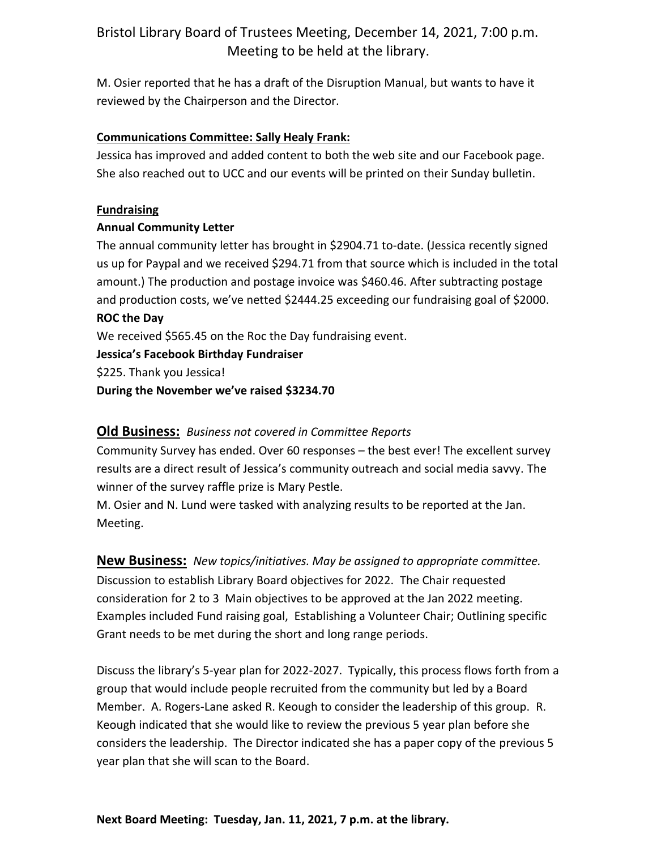M. Osier reported that he has a draft of the Disruption Manual, but wants to have it reviewed by the Chairperson and the Director.

#### **Communications Committee: Sally Healy Frank:**

Jessica has improved and added content to both the web site and our Facebook page. She also reached out to UCC and our events will be printed on their Sunday bulletin.

#### **Fundraising**

#### **Annual Community Letter**

The annual community letter has brought in \$2904.71 to-date. (Jessica recently signed us up for Paypal and we received \$294.71 from that source which is included in the total amount.) The production and postage invoice was \$460.46. After subtracting postage and production costs, we've netted \$2444.25 exceeding our fundraising goal of \$2000. **ROC the Day**

We received \$565.45 on the Roc the Day fundraising event.

**Jessica's Facebook Birthday Fundraiser**

\$225. Thank you Jessica!

**During the November we've raised \$3234.70**

#### **Old Business:** *Business not covered in Committee Reports*

Community Survey has ended. Over 60 responses – the best ever! The excellent survey results are a direct result of Jessica's community outreach and social media savvy. The winner of the survey raffle prize is Mary Pestle.

M. Osier and N. Lund were tasked with analyzing results to be reported at the Jan. Meeting.

**New Business:** *New topics/initiatives. May be assigned to appropriate committee.* Discussion to establish Library Board objectives for 2022. The Chair requested consideration for 2 to 3 Main objectives to be approved at the Jan 2022 meeting. Examples included Fund raising goal, Establishing a Volunteer Chair; Outlining specific Grant needs to be met during the short and long range periods.

Discuss the library's 5-year plan for 2022-2027. Typically, this process flows forth from a group that would include people recruited from the community but led by a Board Member. A. Rogers-Lane asked R. Keough to consider the leadership of this group. R. Keough indicated that she would like to review the previous 5 year plan before she considers the leadership. The Director indicated she has a paper copy of the previous 5 year plan that she will scan to the Board.